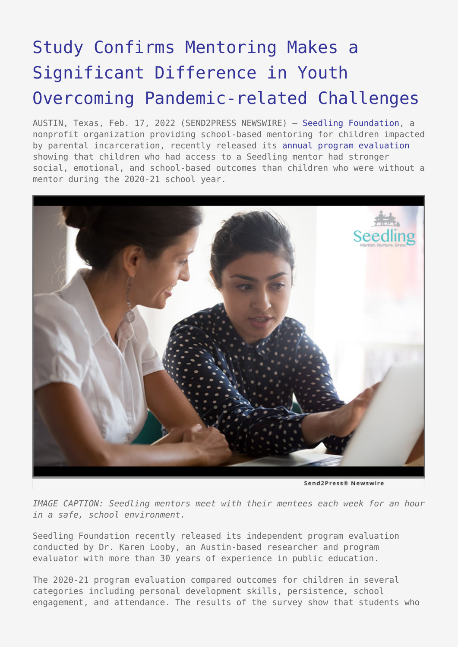## [Study Confirms Mentoring Makes a](https://www.send2press.com/wire/study-confirms-mentoring-makes-a-significant-difference-in-youth-overcoming-pandemic-related-challenges/) [Significant Difference in Youth](https://www.send2press.com/wire/study-confirms-mentoring-makes-a-significant-difference-in-youth-overcoming-pandemic-related-challenges/) [Overcoming Pandemic-related Challenges](https://www.send2press.com/wire/study-confirms-mentoring-makes-a-significant-difference-in-youth-overcoming-pandemic-related-challenges/)

AUSTIN, Texas, Feb. 17, 2022 (SEND2PRESS NEWSWIRE) — [Seedling Foundation](https://seedlingmentors.org/), a nonprofit organization providing school-based mentoring for children impacted by parental incarceration, recently released its [annual program evaluation](https://seedlingmentors.org/wp-content/uploads/2022/02/Seedling-Report_2020-2021_FINAL_11.29.21-RESIZED.pdf) showing that children who had access to a Seedling mentor had stronger social, emotional, and school-based outcomes than children who were without a mentor during the 2020-21 school year.



Send2Press® Newswire

*IMAGE CAPTION: Seedling mentors meet with their mentees each week for an hour in a safe, school environment.*

Seedling Foundation recently released its independent program evaluation conducted by Dr. Karen Looby, an Austin-based researcher and program evaluator with more than 30 years of experience in public education.

The 2020-21 program evaluation compared outcomes for children in several categories including personal development skills, persistence, school engagement, and attendance. The results of the survey show that students who